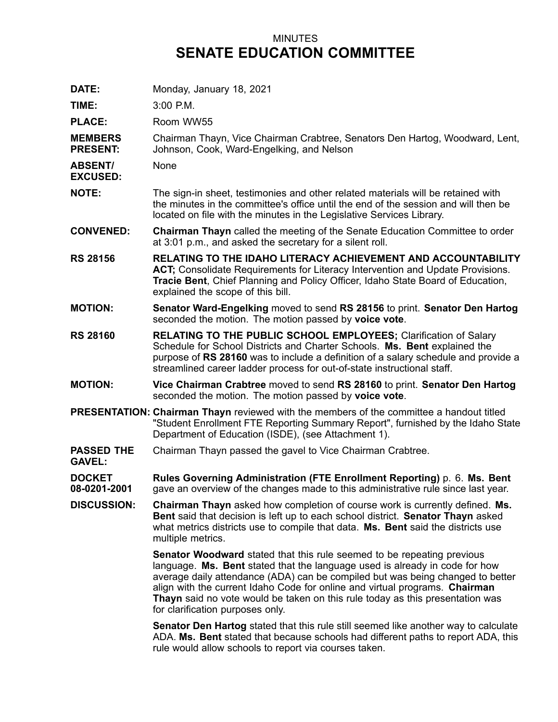## MINUTES **SENATE EDUCATION COMMITTEE**

**DATE:** Monday, January 18, 2021

**TIME:** 3:00 P.M.

**PLACE:** Room WW55

**MEMBERS PRESENT:** Chairman Thayn, Vice Chairman Crabtree, Senators Den Hartog, Woodward, Lent, Johnson, Cook, Ward-Engelking, and Nelson

**ABSENT/** None

**EXCUSED:**

**NOTE:** The sign-in sheet, testimonies and other related materials will be retained with the minutes in the committee's office until the end of the session and will then be located on file with the minutes in the Legislative Services Library.

**CONVENED: Chairman Thayn** called the meeting of the Senate Education Committee to order at 3:01 p.m., and asked the secretary for <sup>a</sup> silent roll.

- **RS 28156 RELATING TO THE IDAHO LITERACY ACHIEVEMENT AND ACCOUNTABILITY ACT;** Consolidate Requirements for Literacy Intervention and Update Provisions. **Tracie Bent**, Chief Planning and Policy Officer, Idaho State Board of Education, explained the scope of this bill.
- **MOTION: Senator Ward-Engelking** moved to send **RS 28156** to print. **Senator Den Hartog** seconded the motion. The motion passed by **voice vote**.
- **RS 28160 RELATING TO THE PUBLIC SCHOOL EMPLOYEES;** Clarification of Salary Schedule for School Districts and Charter Schools. **Ms. Bent** explained the purpose of **RS 28160** was to include <sup>a</sup> definition of <sup>a</sup> salary schedule and provide <sup>a</sup> streamlined career ladder process for out-of-state instructional staff.
- **MOTION: Vice Chairman Crabtree** moved to send **RS 28160** to print. **Senator Den Hartog** seconded the motion. The motion passed by **voice vote**.
- **PRESENTATION: Chairman Thayn** reviewed with the members of the committee <sup>a</sup> handout titled "Student Enrollment FTE Reporting Summary Report", furnished by the Idaho State Department of Education (ISDE), (see Attachment 1).
- **PASSED THE GAVEL:** Chairman Thayn passed the gavel to Vice Chairman Crabtree.

**DOCKET 08-0201-2001 Rules Governing Administration (FTE Enrollment Reporting)** p. 6. **Ms. Bent** gave an overview of the changes made to this administrative rule since last year.

**DISCUSSION: Chairman Thayn** asked how completion of course work is currently defined. **Ms. Bent** said that decision is left up to each school district. **Senator Thayn** asked what metrics districts use to compile that data. **Ms. Bent** said the districts use multiple metrics.

> **Senator Woodward** stated that this rule seemed to be repeating previous language. **Ms. Bent** stated that the language used is already in code for how average daily attendance (ADA) can be compiled but was being changed to better align with the current Idaho Code for online and virtual programs. **Chairman Thayn** said no vote would be taken on this rule today as this presentation was for clarification purposes only.

> **Senator Den Hartog** stated that this rule still seemed like another way to calculate ADA. **Ms. Bent** stated that because schools had different paths to report ADA, this rule would allow schools to report via courses taken.